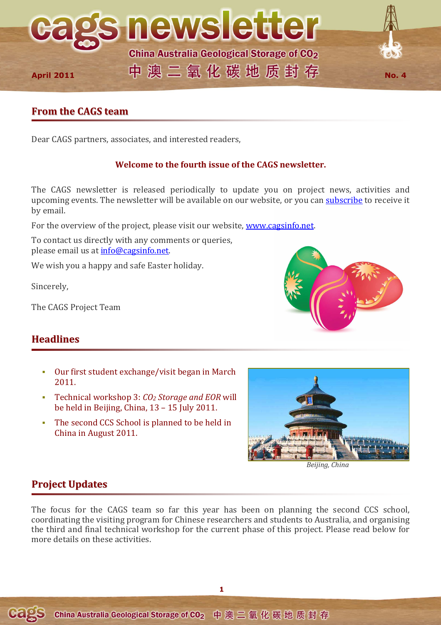

# **From the CAGS team**

Dear CAGS partners, associates, and interested readers,

# **Welcome to the fourth issue of the CAGS newsletter.**

The CAGS newsletter is released periodically to update you on project news, activities and upcoming events. The newsletter will be available on our website, or you can subscribe to receive it by email.

For the overview of the project, please visit our website, www.cagsinfo.net.

To contact us directly with any comments or queries, please email us at **info@cagsinfo.net**.

We wish you a happy and safe Easter holiday.

Sincerely,

The CAGS Project Team

# **Headlines**

- Our first student exchange/visit began in March 2011.
- Technical workshop 3: *CO2 Storage and EOR* will be held in Beijing, China, 13 – 15 July 2011.
- The second CCS School is planned to be held in China in August 2011.



*Beijing, China*

# **Project Updates**

The focus for the CAGS team so far this year has been on planning the second CCS school, coordinating the visiting program for Chinese researchers and students to Australia, and organising the third and final technical workshop for the current phase of this project. Please read below for more details on these activities.



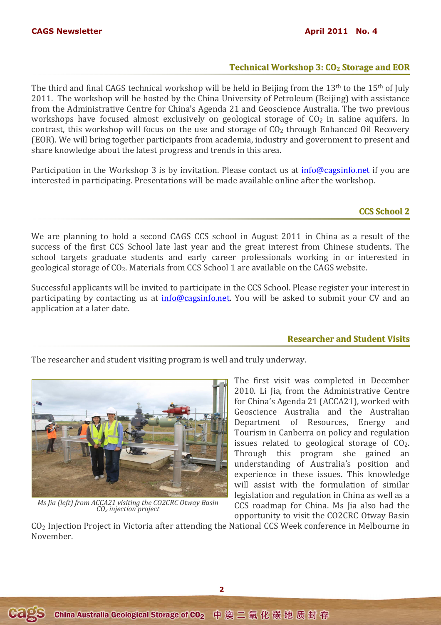#### **CAGS Newsletter April 2011 No. 4 April 2011 No. 4 April 2011 No. 4**

### **Technical Workshop 3: CO<sup>2</sup> Storage and EOR**

The third and final CAGS technical workshop will be held in Beijing from the 13<sup>th</sup> to the 15<sup>th</sup> of July 2011. The workshop will be hosted by the China University of Petroleum (Beijing) with assistance from the Administrative Centre for China's Agenda 21 and Geoscience Australia. The two previous workshops have focused almost exclusively on geological storage of  $CO<sub>2</sub>$  in saline aquifers. In contrast, this workshop will focus on the use and storage of  $CO<sub>2</sub>$  through Enhanced Oil Recovery (EOR). We will bring together participants from academia, industry and government to present and share knowledge about the latest progress and trends in this area.

Participation in the Workshop 3 is by invitation. Please contact us at info@cagsinfo.net if you are interested in participating. Presentations will be made available online after the workshop.

## **CCS School 2**

We are planning to hold a second CAGS CCS school in August 2011 in China as a result of the success of the first CCS School late last year and the great interest from Chinese students. The school targets graduate students and early career professionals working in or interested in geological storage of CO2. Materials from CCS School 1 are available on the CAGS website.

Successful applicants will be invited to participate in the CCS School. Please register your interest in participating by contacting us at info@cagsinfo.net. You will be asked to submit your CV and an application at a later date.

#### **Researcher and Student Visits**

The researcher and student visiting program is well and truly underway.



*Ms Jia (left) from ACCA21 visiting the CO2CRC Otway Basin CO2 injection project* 

The first visit was completed in December 2010. Li Jia, from the Administrative Centre for China's Agenda 21 (ACCA21), worked with Geoscience Australia and the Australian Department of Resources, Energy and Tourism in Canberra on policy and regulation issues related to geological storage of  $CO<sub>2</sub>$ . Through this program she gained an understanding of Australia's position and experience in these issues. This knowledge will assist with the formulation of similar legislation and regulation in China as well as a CCS roadmap for China. Ms Jia also had the opportunity to visit the CO2CRC Otway Basin

CO2 Injection Project in Victoria after attending the National CCS Week conference in Melbourne in November.

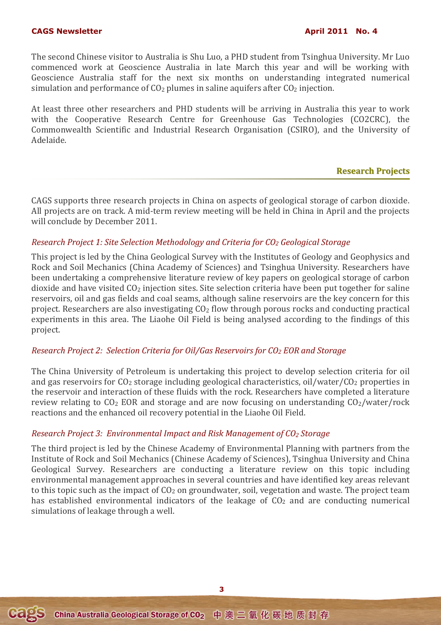The second Chinese visitor to Australia is Shu Luo, a PHD student from Tsinghua University. Mr Luo commenced work at Geoscience Australia in late March this year and will be working with Geoscience Australia staff for the next six months on understanding integrated numerical simulation and performance of  $CO<sub>2</sub>$  plumes in saline aquifers after  $CO<sub>2</sub>$  injection.

At least three other researchers and PHD students will be arriving in Australia this year to work with the Cooperative Research Centre for Greenhouse Gas Technologies (CO2CRC), the Commonwealth Scientific and Industrial Research Organisation (CSIRO), and the University of Adelaide.

### **Research Projects**

CAGS supports three research projects in China on aspects of geological storage of carbon dioxide. All projects are on track. A mid-term review meeting will be held in China in April and the projects will conclude by December 2011.

## *Research Project 1: Site Selection Methodology and Criteria for CO2 Geological Storage*

This project is led by the China Geological Survey with the Institutes of Geology and Geophysics and Rock and Soil Mechanics (China Academy of Sciences) and Tsinghua University. Researchers have been undertaking a comprehensive literature review of key papers on geological storage of carbon dioxide and have visited CO<sub>2</sub> injection sites. Site selection criteria have been put together for saline reservoirs, oil and gas fields and coal seams, although saline reservoirs are the key concern for this project. Researchers are also investigating CO2 flow through porous rocks and conducting practical experiments in this area. The Liaohe Oil Field is being analysed according to the findings of this project.

#### *Research Project 2: Selection Criteria for Oil/Gas Reservoirs for CO2 EOR and Storage*

The China University of Petroleum is undertaking this project to develop selection criteria for oil and gas reservoirs for  $CO<sub>2</sub>$  storage including geological characteristics, oil/water/ $CO<sub>2</sub>$  properties in the reservoir and interaction of these fluids with the rock. Researchers have completed a literature review relating to  $CO<sub>2</sub> EOR$  and storage and are now focusing on understanding  $CO<sub>2</sub>/water/rock$ reactions and the enhanced oil recovery potential in the Liaohe Oil Field.

## *Research Project 3: Environmental Impact and Risk Management of CO2 Storage*

The third project is led by the Chinese Academy of Environmental Planning with partners from the Institute of Rock and Soil Mechanics (Chinese Academy of Sciences), Tsinghua University and China Geological Survey. Researchers are conducting a literature review on this topic including environmental management approaches in several countries and have identified key areas relevant to this topic such as the impact of  $CO<sub>2</sub>$  on groundwater, soil, vegetation and waste. The project team has established environmental indicators of the leakage of  $CO<sub>2</sub>$  and are conducting numerical simulations of leakage through a well.